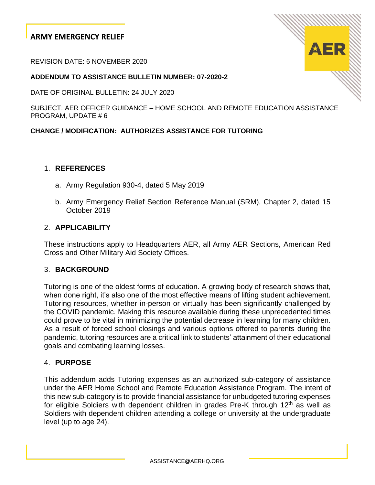# **ARMY EMERGENCY RELIEF**

REVISION DATE: 6 NOVEMBER 2020

#### **ADDENDUM TO ASSISTANCE BULLETIN NUMBER: 07-2020-2**

DATE OF ORIGINAL BULLETIN: 24 JULY 2020

SUBJECT: AER OFFICER GUIDANCE – HOME SCHOOL AND REMOTE EDUCATION ASSISTANCE PROGRAM, UPDATE # 6

#### **CHANGE / MODIFICATION: AUTHORIZES ASSISTANCE FOR TUTORING**

#### 1. **REFERENCES**

- a. Army Regulation 930-4, dated 5 May 2019
- b. Army Emergency Relief Section Reference Manual (SRM), Chapter 2, dated 15 October 2019

#### 2. **APPLICABILITY**

These instructions apply to Headquarters AER, all Army AER Sections, American Red Cross and Other Military Aid Society Offices.

#### 3. **BACKGROUND**

Tutoring is one of the oldest forms of education. A [growing body of research](https://www.nber.org/papers/w22130) shows that, when done right, it's also one of the most effective means of lifting student achievement. Tutoring resources, whether in-person or virtually has been significantly challenged by the COVID pandemic. Making this resource available during these unprecedented times could prove to be vital in minimizing the potential decrease in learning for many children. As a result of forced school closings and various options offered to parents during the pandemic, tutoring resources are a critical link to students' attainment of their educational goals and combating learning losses.

### 4. **PURPOSE**

This addendum adds Tutoring expenses as an authorized sub-category of assistance under the AER Home School and Remote Education Assistance Program. The intent of this new sub-category is to provide financial assistance for unbudgeted tutoring expenses for eligible Soldiers with dependent children in grades Pre-K through  $12<sup>th</sup>$  as well as Soldiers with dependent children attending a college or university at the undergraduate level (up to age 24).

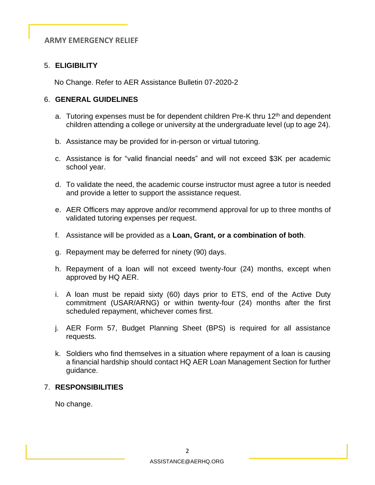# **ARMY EMERGENCY RELIEF**

# 5. **ELIGIBILITY**

No Change. Refer to AER Assistance Bulletin 07-2020-2

#### 6. **GENERAL GUIDELINES**

- a. Tutoring expenses must be for dependent children Pre-K thru 12<sup>th</sup> and dependent children attending a college or university at the undergraduate level (up to age 24).
- b. Assistance may be provided for in-person or virtual tutoring.
- c. Assistance is for "valid financial needs" and will not exceed \$3K per academic school year.
- d. To validate the need, the academic course instructor must agree a tutor is needed and provide a letter to support the assistance request.
- e. AER Officers may approve and/or recommend approval for up to three months of validated tutoring expenses per request.
- f. Assistance will be provided as a **Loan, Grant, or a combination of both**.
- g. Repayment may be deferred for ninety (90) days.
- h. Repayment of a loan will not exceed twenty-four (24) months, except when approved by HQ AER.
- i. A loan must be repaid sixty (60) days prior to ETS, end of the Active Duty commitment (USAR/ARNG) or within twenty-four (24) months after the first scheduled repayment, whichever comes first.
- j. AER Form 57, Budget Planning Sheet (BPS) is required for all assistance requests.
- k. Soldiers who find themselves in a situation where repayment of a loan is causing a financial hardship should contact HQ AER Loan Management Section for further guidance.

### 7. **RESPONSIBILITIES**

No change.